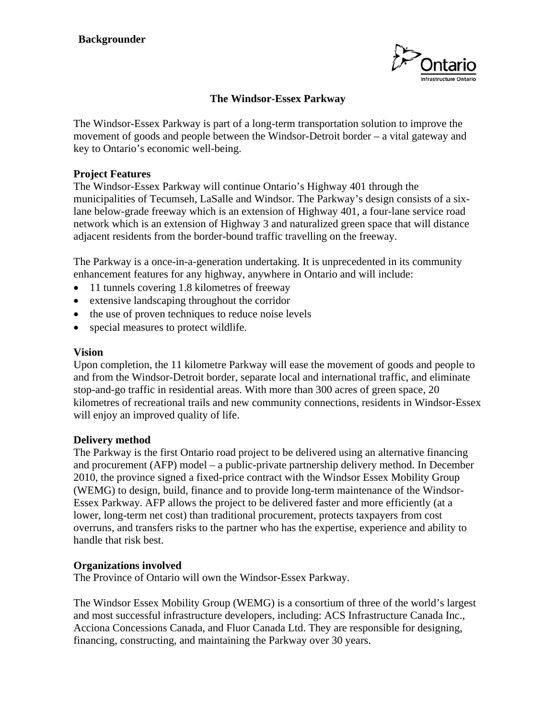

# **The Windsor-Essex Parkway**

The Windsor-Essex Parkway is part of a long-term transportation solution to improve the movement of goods and people between the Windsor-Detroit border – a vital gateway and key to Ontario's economic well-being.

## **Project Features**

The Windsor-Essex Parkway will continue Ontario's Highway 401 through the municipalities of Tecumseh, LaSalle and Windsor. The Parkway's design consists of a sixlane below-grade freeway which is an extension of Highway 401, a four-lane service road network which is an extension of Highway 3 and naturalized green space that will distance adjacent residents from the border-bound traffic travelling on the freeway.

The Parkway is a once-in-a-generation undertaking. It is unprecedented in its community enhancement features for any highway, anywhere in Ontario and will include:

- 11 tunnels covering 1.8 kilometres of freeway
- extensive landscaping throughout the corridor
- the use of proven techniques to reduce noise levels
- special measures to protect wildlife.

### **Vision**

Upon completion, the 11 kilometre Parkway will ease the movement of goods and people to and from the Windsor-Detroit border, separate local and international traffic, and eliminate stop-and-go traffic in residential areas. With more than 300 acres of green space, 20 kilometres of recreational trails and new community connections, residents in Windsor-Essex will enjoy an improved quality of life.

### **Delivery method**

The Parkway is the first Ontario road project to be delivered using an alternative financing and procurement (AFP) model – a public-private partnership delivery method. In December 2010, the province signed a fixed-price contract with the Windsor Essex Mobility Group (WEMG) to design, build, finance and to provide long-term maintenance of the Windsor-Essex Parkway. AFP allows the project to be delivered faster and more efficiently (at a lower, long-term net cost) than traditional procurement, protects taxpayers from cost overruns, and transfers risks to the partner who has the expertise, experience and ability to handle that risk best.

### **Organizations involved**

The Province of Ontario will own the Windsor-Essex Parkway.

The Windsor Essex Mobility Group (WEMG) is a consortium of three of the world's largest and most successful infrastructure developers, including: ACS Infrastructure Canada Inc., Acciona Concessions Canada, and Fluor Canada Ltd. They are responsible for designing, financing, constructing, and maintaining the Parkway over 30 years.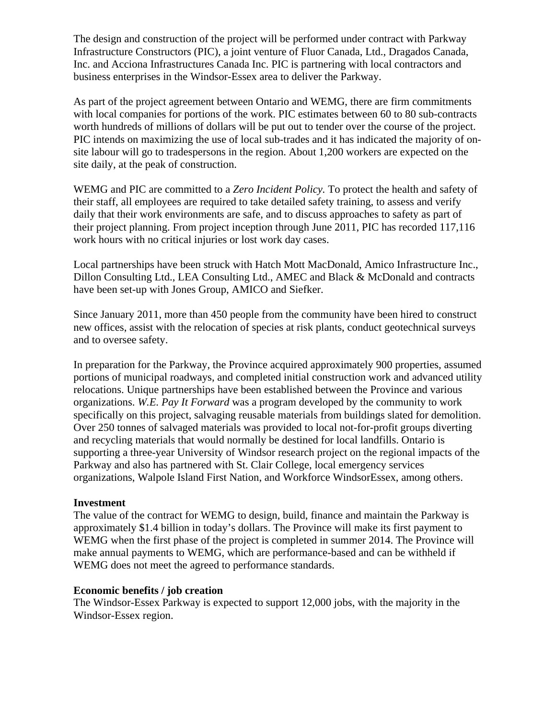The design and construction of the project will be performed under contract with Parkway Infrastructure Constructors (PIC), a joint venture of Fluor Canada, Ltd., Dragados Canada, Inc. and Acciona Infrastructures Canada Inc. PIC is partnering with local contractors and business enterprises in the Windsor-Essex area to deliver the Parkway.

As part of the project agreement between Ontario and WEMG, there are firm commitments with local companies for portions of the work. PIC estimates between 60 to 80 sub-contracts worth hundreds of millions of dollars will be put out to tender over the course of the project. PIC intends on maximizing the use of local sub-trades and it has indicated the majority of onsite labour will go to tradespersons in the region. About 1,200 workers are expected on the site daily, at the peak of construction.

WEMG and PIC are committed to a *Zero Incident Policy.* To protect the health and safety of their staff, all employees are required to take detailed safety training, to assess and verify daily that their work environments are safe, and to discuss approaches to safety as part of their project planning. From project inception through June 2011, PIC has recorded 117,116 work hours with no critical injuries or lost work day cases.

Local partnerships have been struck with Hatch Mott MacDonald, Amico Infrastructure Inc., Dillon Consulting Ltd., LEA Consulting Ltd., AMEC and Black & McDonald and contracts have been set-up with Jones Group, AMICO and Siefker.

Since January 2011, more than 450 people from the community have been hired to construct new offices, assist with the relocation of species at risk plants, conduct geotechnical surveys and to oversee safety.

In preparation for the Parkway, the Province acquired approximately 900 properties, assumed portions of municipal roadways, and completed initial construction work and advanced utility relocations. Unique partnerships have been established between the Province and various organizations. *W.E. Pay It Forward* was a program developed by the community to work specifically on this project, salvaging reusable materials from buildings slated for demolition. Over 250 tonnes of salvaged materials was provided to local not-for-profit groups diverting and recycling materials that would normally be destined for local landfills. Ontario is supporting a three-year University of Windsor research project on the regional impacts of the Parkway and also has partnered with St. Clair College, local emergency services organizations, Walpole Island First Nation, and Workforce WindsorEssex, among others.

### **Investment**

The value of the contract for WEMG to design, build, finance and maintain the Parkway is approximately \$1.4 billion in today's dollars. The Province will make its first payment to WEMG when the first phase of the project is completed in summer 2014. The Province will make annual payments to WEMG, which are performance-based and can be withheld if WEMG does not meet the agreed to performance standards.

### **Economic benefits / job creation**

The Windsor-Essex Parkway is expected to support 12,000 jobs, with the majority in the Windsor-Essex region.